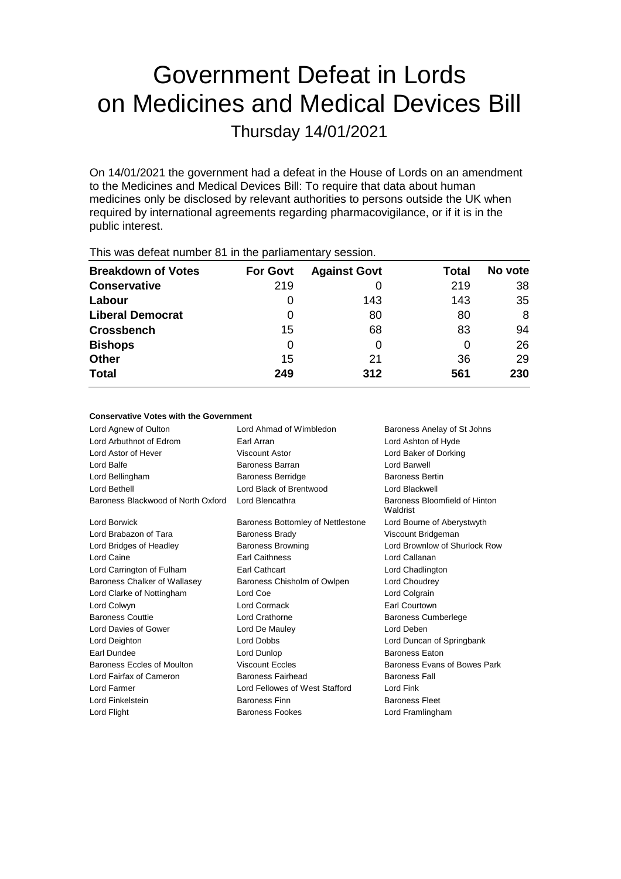# Government Defeat in Lords on Medicines and Medical Devices Bill

Thursday 14/01/2021

On 14/01/2021 the government had a defeat in the House of Lords on an amendment to the Medicines and Medical Devices Bill: To require that data about human medicines only be disclosed by relevant authorities to persons outside the UK when required by international agreements regarding pharmacovigilance, or if it is in the public interest.

| This was abloat harmon of the tho partiamontaly observed. |                 |                     |       |         |  |  |
|-----------------------------------------------------------|-----------------|---------------------|-------|---------|--|--|
| <b>Breakdown of Votes</b>                                 | <b>For Govt</b> | <b>Against Govt</b> | Total | No vote |  |  |
| <b>Conservative</b>                                       | 219             |                     | 219   | 38      |  |  |
| Labour                                                    | O               | 143                 | 143   | 35      |  |  |
| <b>Liberal Democrat</b>                                   | 0               | 80                  | 80    | 8       |  |  |
| <b>Crossbench</b>                                         | 15              | 68                  | 83    | 94      |  |  |
| <b>Bishops</b>                                            | 0               | 0                   | 0     | 26      |  |  |
| <b>Other</b>                                              | 15              | 21                  | 36    | 29      |  |  |
| <b>Total</b>                                              | 249             | 312                 | 561   | 230     |  |  |
|                                                           |                 |                     |       |         |  |  |

This was defeat number 81 in the parliamentary session.

#### **Conservative Votes with the Government**

| Lord Agnew of Oulton               | Lord Ahmad of Wimbledon           | Baroness Anelay of St Johns               |
|------------------------------------|-----------------------------------|-------------------------------------------|
| Lord Arbuthnot of Edrom            | Earl Arran                        | Lord Ashton of Hyde                       |
| Lord Astor of Hever                | Viscount Astor                    | Lord Baker of Dorking                     |
| Lord Balfe                         | Baroness Barran                   | Lord Barwell                              |
| Lord Bellingham                    | <b>Baroness Berridge</b>          | <b>Baroness Bertin</b>                    |
| Lord Bethell                       | Lord Black of Brentwood           | Lord Blackwell                            |
| Baroness Blackwood of North Oxford | Lord Blencathra                   | Baroness Bloomfield of Hinton<br>Waldrist |
| Lord Borwick                       | Baroness Bottomley of Nettlestone | Lord Bourne of Aberystwyth                |
| Lord Brabazon of Tara              | <b>Baroness Brady</b>             | Viscount Bridgeman                        |
| Lord Bridges of Headley            | <b>Baroness Browning</b>          | Lord Brownlow of Shurlock Row             |
| Lord Caine                         | <b>Earl Caithness</b>             | Lord Callanan                             |
| Lord Carrington of Fulham          | Earl Cathcart                     | Lord Chadlington                          |
| Baroness Chalker of Wallasey       | Baroness Chisholm of Owlpen       | Lord Choudrey                             |
| Lord Clarke of Nottingham          | Lord Coe                          | Lord Colgrain                             |
| Lord Colwyn                        | Lord Cormack                      | <b>Earl Courtown</b>                      |
| <b>Baroness Couttie</b>            | Lord Crathorne                    | <b>Baroness Cumberlege</b>                |
| Lord Davies of Gower               | Lord De Mauley                    | Lord Deben                                |
| Lord Deighton                      | Lord Dobbs                        | Lord Duncan of Springbank                 |
| Earl Dundee                        | Lord Dunlop                       | <b>Baroness Eaton</b>                     |
| Baroness Eccles of Moulton         | <b>Viscount Eccles</b>            | Baroness Evans of Bowes Park              |
| Lord Fairfax of Cameron            | <b>Baroness Fairhead</b>          | <b>Baroness Fall</b>                      |
| Lord Farmer                        | Lord Fellowes of West Stafford    | Lord Fink                                 |
| Lord Finkelstein                   | Baroness Finn                     | <b>Baroness Fleet</b>                     |
| Lord Flight                        | <b>Baroness Fookes</b>            | Lord Framlingham                          |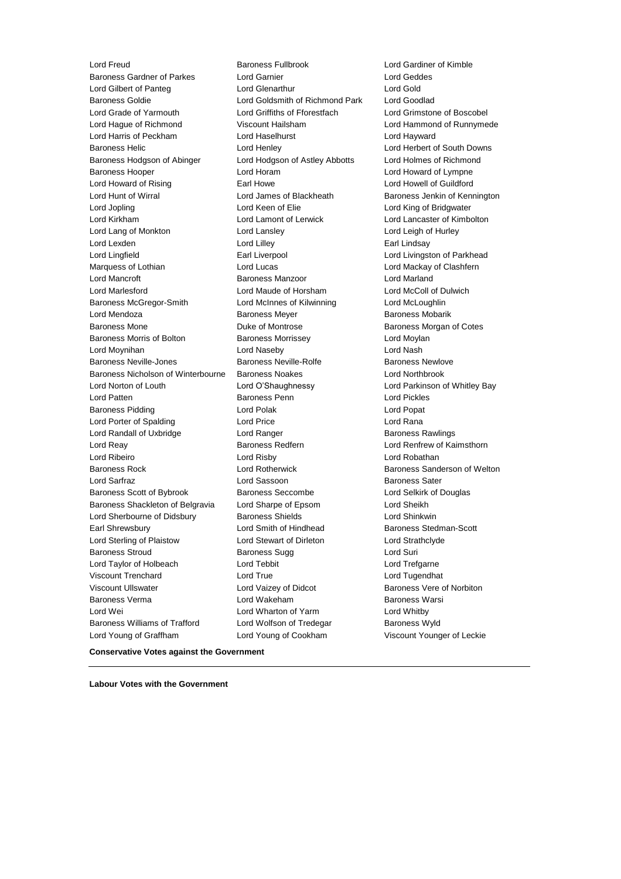Lord Freud Baroness Fullbrook Lord Gardiner of Kimble Baroness Gardner of Parkes Lord Garnier Lord Geddes Lord Gilbert of Panteg Lord Glenarthur Lord Gold Baroness Goldie Lord Goldsmith of Richmond Park Lord Goodlad Lord Grade of Yarmouth Lord Griffiths of Fforestfach Lord Grimstone of Boscobel Lord Hague of Richmond Viscount Hailsham Lord Hammond of Runnymede Lord Harris of Peckham Lord Haselhurst Lord Hayward Baroness Helic **Lord Henley** Lord Henley **Lord Herbert of South Downs** Baroness Hodgson of Abinger Lord Hodgson of Astley Abbotts Lord Holmes of Richmond Baroness Hooper **Lord Horam Communist Lord Howard of Lympne** Lord Howard of Rising **Earl Howe** Earl Howe Lord Howell of Guildford Lord Hunt of Wirral **Lord James of Blackheath** Baroness Jenkin of Kennington Lord Jopling Lord Keen of Elie Lord King of Bridgwater Lord Kirkham Lord Lamont of Lerwick Lord Lancaster of Kimbolton Lord Lang of Monkton Lord Lansley Lord Leigh of Hurley Lord Lexden **Lord Lilley Case Lord Lilley Case Lindsay Earl Lindsay** Lord Lingfield **Earl Liverpool** Earl Liverpool **Lord Livingston of Parkhead** Marquess of Lothian **Lord Lord Lucas** Lord Lucas **Lord Mackay of Clashfern** Lord Mancroft Baroness Manzoor Lord Marland Lord Marlesford Lord Maude of Horsham Lord McColl of Dulwich Baroness McGregor-Smith Lord McInnes of Kilwinning Lord McLoughlin Lord Mendoza **Baroness Meyer** Baroness Meyer Baroness Mobarik Baroness Mone **Baroness Montrose** Baroness Morgan of Cotes Baroness Morris of Bolton Baroness Morrissey Carolyness Morrissey Lord Moynihan Lord Naseby Lord Nash Baroness Neville-Jones **Baroness Neville-Rolfe** Baroness Newlove Baroness Nicholson of Winterbourne Baroness Noakes Lord Northbrook Lord Norton of Louth Lord O'Shaughnessy Lord Parkinson of Whitley Bay Lord Patten Baroness Penn Lord Pickles Baroness Pidding Lord Polak Lord Popat Lord Porter of Spalding Lord Price Lord Rana Lord Randall of Uxbridge The Lord Ranger Corp. 2012 Baroness Rawlings Lord Reay **Baroness Redfern Baroness Redfern** Lord Renfrew of Kaimsthorn Lord Ribeiro Lord Risby Lord Robathan Baroness Rock **Baroness** Sanderson of Welton Lord Rotherwick **Baroness Sanderson of Welton** Lord Sarfraz **Lord Sassoon** Baroness Sater Baroness Scott of Bybrook Baroness Seccombe Lord Selkirk of Douglas Baroness Shackleton of Belgravia Lord Sharpe of Epsom Lord Sheikh Lord Sherbourne of Didsbury **Baroness Shields Lord Shinkwin** Earl Shrewsbury **Lord Smith of Hindhead** Baroness Stedman-Scott Lord Sterling of Plaistow Lord Stewart of Dirleton Lord Strathclyde Baroness Stroud **Baroness Sugg Community** Baroness Sugg **Lord Suri** Lord Taylor of Holbeach Lord Tebbit Lord Trefgarne Viscount Trenchard Lord True Lord Tugendhat Viscount Ullswater Lord Vaizey of Didcot Baroness Vere of Norbiton Baroness Verma Lord Wakeham Baroness Warsi Lord Wei Lord Wharton of Yarm Lord Whitby Baroness Williams of Trafford Lord Wolfson of Tredegar Baroness Wyld Lord Young of Graffham Lord Young of Cookham Viscount Younger of Leckie

**Conservative Votes against the Government**

**Labour Votes with the Government**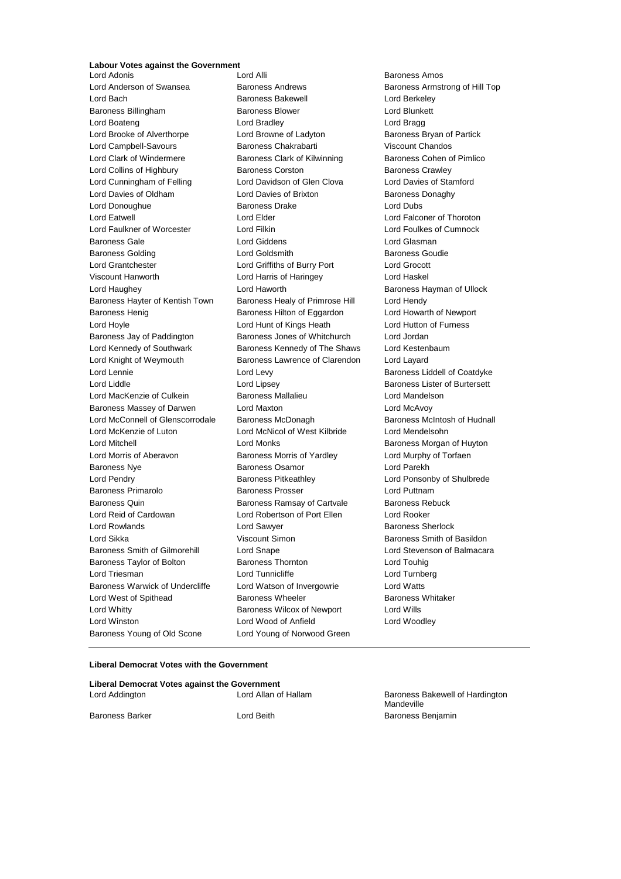## **Labour Votes against the Government**

Lord Adonis Lord Alli Baroness Amos Lord Anderson of Swansea Baroness Andrews Baroness Armstrong of Hill Top Lord Bach **Baroness Bakewell** Lord Berkeley Baroness Billingham Baroness Blower Lord Blunkett Lord Boateng Lord Bradley Lord Bragg Lord Brooke of Alverthorpe Lord Browne of Ladyton Baroness Bryan of Partick Lord Campbell-Savours Baroness Chakrabarti Viscount Chandos Lord Clark of Windermere **Baroness Clark of Kilwinning** Baroness Cohen of Pimlico Lord Collins of Highbury **Baroness Corston** Baroness Corston Baroness Crawley Lord Cunningham of Felling Lord Davidson of Glen Clova Lord Davies of Stamford Lord Davies of Oldham **Lord Davies of Brixton** Baroness Donaghy Lord Donoughue **Baroness Drake** Lord Dubs Lord Eatwell Lord Elder Lord Falconer of Thoroton Lord Faulkner of Worcester Lord Filkin Lord Foulkes of Cumnock Baroness Gale Lord Giddens Lord Glasman Baroness Golding Lord Goldsmith Baroness Goudie Lord Grantchester Lord Griffiths of Burry Port Lord Grocott Viscount Hanworth Lord Harris of Haringey Lord Haskel Lord Haughey **Lord Haworth Communist Communist Communist Communist Communist Communist Communist Communist Communist Communist Communist Communist Communist Communist Communist Communist Communist Communist Communist Commu** Baroness Hayter of Kentish Town Baroness Healy of Primrose Hill Lord Hendy Baroness Henig Baroness Hilton of Eggardon Lord Howarth of Newport Lord Hoyle Lord Hunt of Kings Heath Lord Hutton of Furness Baroness Jay of Paddington Baroness Jones of Whitchurch Lord Jordan Lord Kennedy of Southwark **Baroness Kennedy of The Shaws** Lord Kestenbaum Lord Knight of Weymouth Baroness Lawrence of Clarendon Lord Layard Lord Lennie **Lord Levy Lord Levy Baroness Liddell of Coatdyke** Lord Liddle Lord Lipsey Baroness Lister of Burtersett Lord MacKenzie of Culkein Baroness Mallalieu Lord Mandelson Baroness Massey of Darwen Lord Maxton Lord McAvoy Lord McConnell of Glenscorrodale Baroness McDonagh Baroness McIntosh of Hudnall Lord McKenzie of Luton Lord McNicol of West Kilbride Lord Mendelsohn Lord Mitchell Lord Monks Baroness Morgan of Huyton Lord Morris of Aberavon Baroness Morris of Yardley Lord Murphy of Torfaen Baroness Nye Baroness Osamor Lord Parekh Lord Pendry Baroness Pitkeathley Lord Ponsonby of Shulbrede Baroness Primarolo Baroness Prosser Lord Puttnam Baroness Quin **Baroness Ramsay of Cartvale** Baroness Rebuck Lord Reid of Cardowan Lord Robertson of Port Ellen Lord Rooker Lord Rowlands **Lord Sawyer Lord Sawyer Baroness Sherlock** Lord Sikka Viscount Simon Baroness Smith of Basildon Baroness Smith of Gilmorehill Lord Snape Lord Stevenson of Balmacara Baroness Taylor of Bolton Baroness Thornton Lord Touhig Lord Triesman **Lord Tunnicliffe** Lord Tunnicliffe Lord Turnberg Baroness Warwick of Undercliffe Lord Watson of Invergowrie Lord Watts Lord West of Spithead **Baroness Wheeler** Baroness Wheeler Baroness Whitaker Lord Whitty Baroness Wilcox of Newport Lord Wills Lord Winston Lord Wood of Anfield Lord Woodley Baroness Young of Old Scone Lord Young of Norwood Green

#### **Liberal Democrat Votes with the Government**

| Liberal Democrat Votes against the Government |                      |                                               |
|-----------------------------------------------|----------------------|-----------------------------------------------|
| Lord Addington                                | Lord Allan of Hallam | Baroness Bakewell of Hardington<br>Mandeville |
| Baroness Barker                               | Lord Beith           | Baroness Benjamin                             |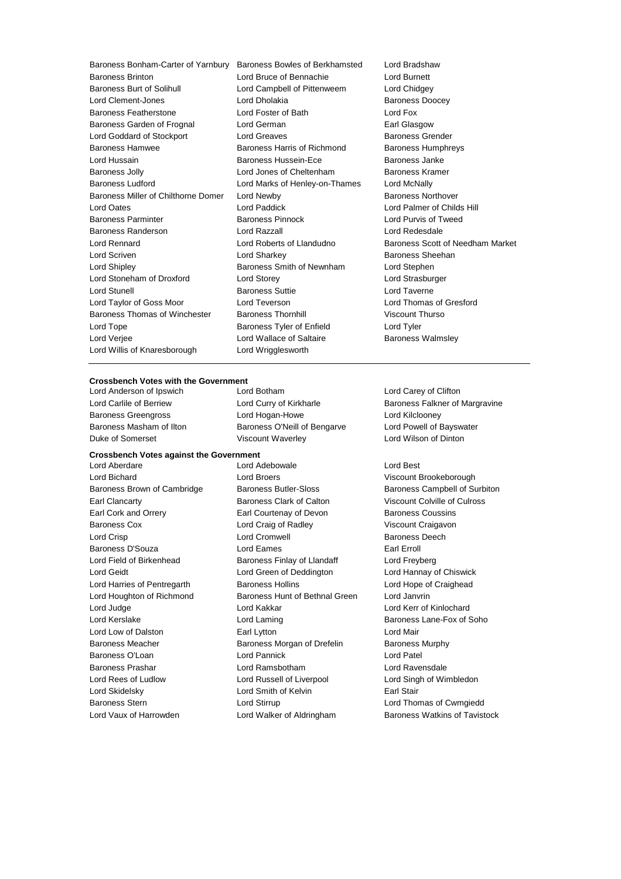Baroness Brinton **Bring Communist Condity** Lord Bruce of Bennachie **Lord Burnett**<br>
Baroness Burt of Solihull **Communist Lord Campbell of Pittenweem** Lord Chidge Lord Clement-Jones **Lord Dholakia Baroness Doocey** Baroness Featherstone Lord Foster of Bath Lord Fox Baroness Garden of Frognal Lord German Communication Carl Glasgow Lord Goddard of Stockport Lord Greaves **Baroness Grender** Baroness Hamwee **Baroness Harris of Richmond** Baroness Humphreys<br>
Baroness Humphreys<br>
Baroness Janke Lord Hussain **Baroness Hussein-Ece** Baroness Jolly **Communist Constructed Lord Jones of Cheltenham** Baroness Kramer Baroness Ludford **Lord Marks of Henley-on-Thames** Lord McNally Baroness Miller of Chilthorne Domer Lord Newby **Baroness Northover** Baroness Northover Lord Oates Lord Paddick Lord Palmer of Childs Hill Baroness Parminter Baroness Pinnock Lord Purvis of Tweed Baroness Randerson Lord Razzall Lord Redesdale Lord Rennard Lord Roberts of Llandudno Baroness Scott of Needham Market Lord Scriven Lord Sharkey Baroness Sheehan Lord Shipley **Baroness Smith of Newnham** Lord Stephen Lord Stoneham of Droxford Lord Storey Lord Strasburger Lord Stunell Baroness Suttie Lord Taverne Lord Taylor of Goss Moor Lord Teverson Lord Thomas of Gresford Baroness Thomas of Winchester Baroness Thornhill Viscount Thurso Lord Tope **Baroness Tyler of Enfield** Lord Tyler Lord Verjee **Lord Wallace of Saltaire Baroness Walmsley** Lord Willis of Knaresborough Lord Wrigglesworth

Baroness Bonham-Carter of Yarnbury Baroness Bowles of Berkhamsted Lord Bradshaw Lord Campbell of Pittenweem Lord Chidgey

#### **Crossbench Votes with the Government**

Duke of Somerset Viscount Waverley Lord Wilson of Dinton

#### **Crossbench Votes against the Government**

Lord Anderson of Ipswich **Lord Botham** Lord Botham Lord Carey of Clifton Baroness Greengross Lord Hogan-Howe Lord Kilclooney Baroness Masham of Ilton Baroness O'Neill of Bengarve Lord Powell of Bayswater

Lord Aberdare Lord Adebowale Lord Best Lord Bichard Lord Broers Viscount Brookeborough Earl Clancarty Baroness Clark of Calton Viscount Colville of Culross Earl Cork and Orrery **Earl Courtenay of Devon** Baroness Coussins Baroness Cox Lord Craig of Radley Viscount Craigavon Lord Crisp Lord Cromwell Baroness Deech Baroness D'Souza Lord Eames Earl Erroll Lord Field of Birkenhead Baroness Finlay of Llandaff Cord Freyberg Lord Geidt Lord Green of Deddington Lord Hannay of Chiswick Lord Harries of Pentregarth Baroness Hollins Lord Hope of Craighead Lord Houghton of Richmond Baroness Hunt of Bethnal Green Lord Janvrin Lord Judge Lord Kakkar Lord Kerr of Kinlochard Lord Kerslake **Lord Laming Lord Laming** Baroness Lane-Fox of Soho Lord Low of Dalston **Earl Lytton** Earl Lytton **Lord Mair** Baroness Meacher **Baroness Morgan of Drefelin** Baroness Murphy Baroness O'Loan Lord Pannick Lord Patel Baroness Prashar Lord Ramsbotham Lord Ravensdale Lord Rees of Ludlow **Lord Russell of Liverpool** Lord Singh of Wimbledon Lord Skidelsky **Lord Smith of Kelvin** Earl Stair Baroness Stern Lord Stirrup Lord Thomas of Cwmgiedd

Lord Carlile of Berriew **Lord Curry of Kirkharle Baroness Falkner of Margravine** 

Baroness Brown of Cambridge Baroness Butler-Sloss Butler Baroness Campbell of Surbiton Lord Vaux of Harrowden **Lord Walker of Aldringham** Baroness Watkins of Tavistock